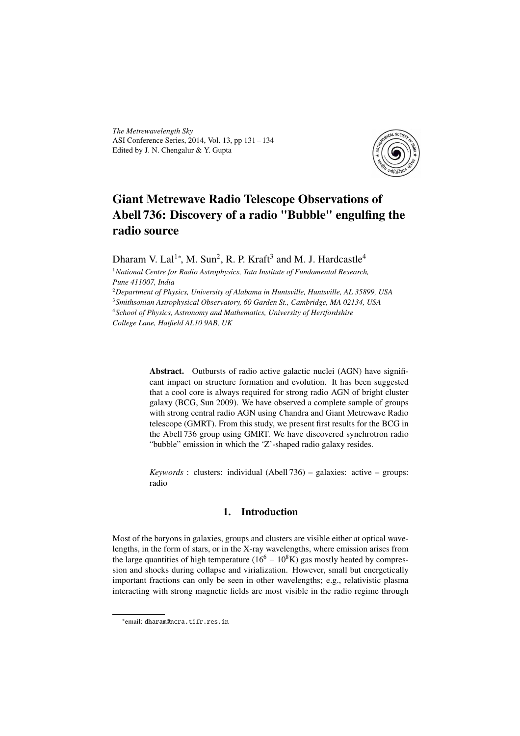*The Metrewavelength Sky* ASI Conference Series, 2014, Vol. 13, pp 131 – 134 Edited by J. N. Chengalur & Y. Gupta



# Giant Metrewave Radio Telescope Observations of Abell 736: Discovery of a radio "Bubble" engulfing the radio source

Dharam V. Lal<sup>1</sup><sup>\*</sup>, M. Sun<sup>2</sup>, R. P. Kraft<sup>3</sup> and M. J. Hardcastle<sup>4</sup>

<sup>1</sup>*National Centre for Radio Astrophysics, Tata Institute of Fundamental Research, Pune 411007, India*

*Department of Physics, University of Alabama in Huntsville, Huntsville, AL 35899, USA Smithsonian Astrophysical Observatory, 60 Garden St., Cambridge, MA 02134, USA School of Physics, Astronomy and Mathematics, University of Hertfordshire College Lane, Hatfield AL10 9AB, UK*

> Abstract. Outbursts of radio active galactic nuclei (AGN) have significant impact on structure formation and evolution. It has been suggested that a cool core is always required for strong radio AGN of bright cluster galaxy (BCG, Sun 2009). We have observed a complete sample of groups with strong central radio AGN using *C*handra and Giant Metrewave Radio telescope (GMRT). From this study, we present first results for the BCG in the Abell 736 group using GMRT. We have discovered synchrotron radio "bubble" emission in which the 'Z'-shaped radio galaxy resides.

> *Keywords* : clusters: individual (Abell 736) – galaxies: active – groups: radio

## 1. Introduction

Most of the baryons in galaxies, groups and clusters are visible either at optical wavelengths, in the form of stars, or in the X-ray wavelengths, where emission arises from the large quantities of high temperature  $(16<sup>6</sup> – 10<sup>8</sup>K)$  gas mostly heated by compression and shocks during collapse and virialization. However, small but energetically important fractions can only be seen in other wavelengths; e.g., relativistic plasma interacting with strong magnetic fields are most visible in the radio regime through

<sup>∗</sup> email: dharam@ncra.tifr.res.in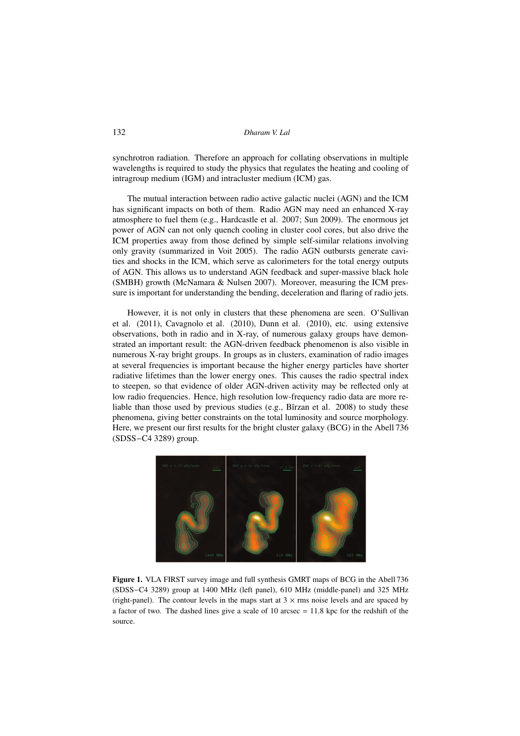synchrotron radiation. Therefore an approach for collating observations in multiple wavelengths is required to study the physics that regulates the heating and cooling of intragroup medium (IGM) and intracluster medium (ICM) gas.

The mutual interaction between radio active galactic nuclei (AGN) and the ICM has significant impacts on both of them. Radio AGN may need an enhanced X-ray atmosphere to fuel them (e.g., Hardcastle et al. 2007; Sun 2009). The enormous jet power of AGN can not only quench cooling in cluster cool cores, but also drive the ICM properties away from those defined by simple self-similar relations involving only gravity (summarized in Voit 2005). The radio AGN outbursts generate cavities and shocks in the ICM, which serve as calorimeters for the total energy outputs of AGN. This allows us to understand AGN feedback and super-massive black hole (SMBH) growth (McNamara & Nulsen 2007). Moreover, measuring the ICM pressure is important for understanding the bending, deceleration and flaring of radio jets.

However, it is not only in clusters that these phenomena are seen. O'Sullivan et al. (2011), Cavagnolo et al. (2010), Dunn et al. (2010), etc. using extensive observations, both in radio and in X-ray, of numerous galaxy groups have demonstrated an important result: the AGN-driven feedback phenomenon is also visible in numerous X-ray bright groups. In groups as in clusters, examination of radio images at several frequencies is important because the higher energy particles have shorter radiative lifetimes than the lower energy ones. This causes the radio spectral index to steepen, so that evidence of older AGN-driven activity may be reflected only at low radio frequencies. Hence, high resolution low-frequency radio data are more reliable than those used by previous studies (e.g., Bîrzan et al. 2008) to study these phenomena, giving better constraints on the total luminosity and source morphology. Here, we present our first results for the bright cluster galaxy (BCG) in the Abell 736 (SDSS−C4 3289) group.



Figure 1. VLA FIRST survey image and full synthesis GMRT maps of BCG in the Abell 736 (SDSS−C4 3289) group at 1400 MHz (left panel), 610 MHz (middle-panel) and 325 MHz (right-panel). The contour levels in the maps start at  $3 \times$  rms noise levels and are spaced by a factor of two. The dashed lines give a scale of 10 arcsec  $= 11.8$  kpc for the redshift of the source.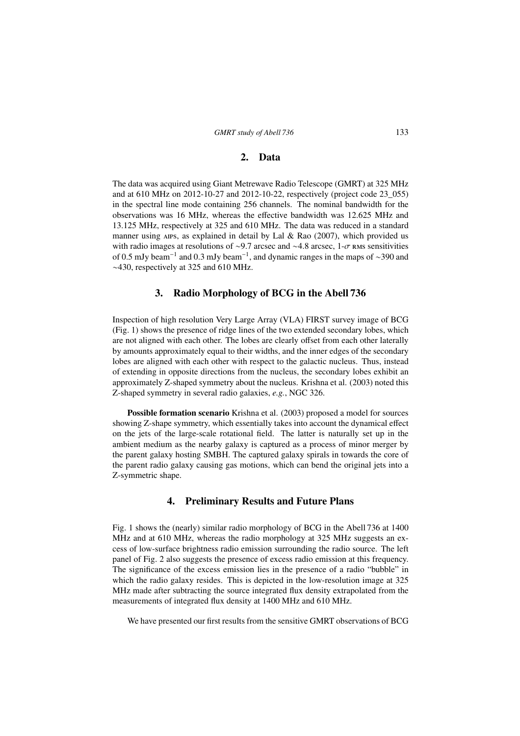#### 2. Data

The data was acquired using Giant Metrewave Radio Telescope (GMRT) at 325 MHz and at 610 MHz on 2012-10-27 and 2012-10-22, respectively (project code 23\_055) in the spectral line mode containing 256 channels. The nominal bandwidth for the observations was 16 MHz, whereas the effective bandwidth was 12.625 MHz and 13.125 MHz, respectively at 325 and 610 MHz. The data was reduced in a standard manner using AIPS, as explained in detail by Lal & Rao  $(2007)$ , which provided us with radio images at resolutions of ~9.7 arcsec and ~4.8 arcsec, 1- $\sigma$  rms sensitivities of 0.5 mJy beam<sup>−</sup><sup>1</sup> and 0.3 mJy beam<sup>−</sup><sup>1</sup> , and dynamic ranges in the maps of ∼390 and ∼430, respectively at 325 and 610 MHz.

#### 3. Radio Morphology of BCG in the Abell 736

Inspection of high resolution Very Large Array (VLA) FIRST survey image of BCG (Fig. 1) shows the presence of ridge lines of the two extended secondary lobes, which are not aligned with each other. The lobes are clearly offset from each other laterally by amounts approximately equal to their widths, and the inner edges of the secondary lobes are aligned with each other with respect to the galactic nucleus. Thus, instead of extending in opposite directions from the nucleus, the secondary lobes exhibit an approximately Z-shaped symmetry about the nucleus. Krishna et al. (2003) noted this Z-shaped symmetry in several radio galaxies, *e.g.*, NGC 326.

Possible formation scenario Krishna et al. (2003) proposed a model for sources showing Z-shape symmetry, which essentially takes into account the dynamical effect on the jets of the large-scale rotational field. The latter is naturally set up in the ambient medium as the nearby galaxy is captured as a process of minor merger by the parent galaxy hosting SMBH. The captured galaxy spirals in towards the core of the parent radio galaxy causing gas motions, which can bend the original jets into a Z-symmetric shape.

### 4. Preliminary Results and Future Plans

Fig. 1 shows the (nearly) similar radio morphology of BCG in the Abell 736 at 1400 MHz and at 610 MHz, whereas the radio morphology at 325 MHz suggests an excess of low-surface brightness radio emission surrounding the radio source. The left panel of Fig. 2 also suggests the presence of excess radio emission at this frequency. The significance of the excess emission lies in the presence of a radio "bubble" in which the radio galaxy resides. This is depicted in the low-resolution image at 325 MHz made after subtracting the source integrated flux density extrapolated from the measurements of integrated flux density at 1400 MHz and 610 MHz.

We have presented our first results from the sensitive GMRT observations of BCG